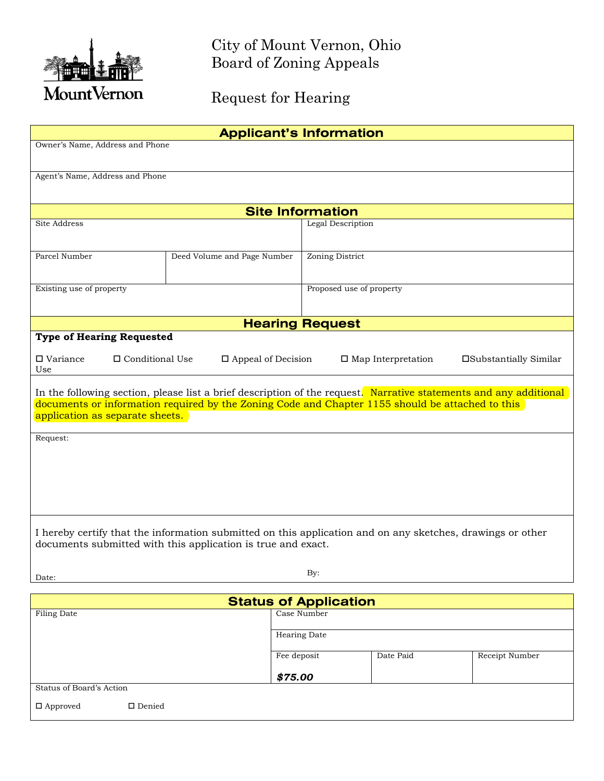

City of Mount Vernon, Ohio Board of Zoning Appeals

Request for Hearing

| <b>Applicant's Information</b>                                                                                                                                                                                        |                             |                          |  |  |  |
|-----------------------------------------------------------------------------------------------------------------------------------------------------------------------------------------------------------------------|-----------------------------|--------------------------|--|--|--|
| Owner's Name, Address and Phone                                                                                                                                                                                       |                             |                          |  |  |  |
|                                                                                                                                                                                                                       |                             |                          |  |  |  |
| Agent's Name, Address and Phone                                                                                                                                                                                       |                             |                          |  |  |  |
|                                                                                                                                                                                                                       |                             |                          |  |  |  |
| <b>Site Information</b>                                                                                                                                                                                               |                             |                          |  |  |  |
| <b>Site Address</b>                                                                                                                                                                                                   |                             | Legal Description        |  |  |  |
| Parcel Number                                                                                                                                                                                                         | Deed Volume and Page Number | Zoning District          |  |  |  |
|                                                                                                                                                                                                                       |                             |                          |  |  |  |
| Existing use of property                                                                                                                                                                                              |                             | Proposed use of property |  |  |  |
|                                                                                                                                                                                                                       |                             |                          |  |  |  |
|                                                                                                                                                                                                                       |                             | <b>Hearing Request</b>   |  |  |  |
| <b>Type of Hearing Requested</b>                                                                                                                                                                                      |                             |                          |  |  |  |
| □ Variance<br>$\hfill\Box$<br>Conditional Use<br>$\Box$ Appeal of Decision<br>$\Box$ Map Interpretation<br>□Substantially Similar<br>Use                                                                              |                             |                          |  |  |  |
|                                                                                                                                                                                                                       |                             |                          |  |  |  |
| In the following section, please list a brief description of the request. Narrative statements and any additional<br>documents or information required by the Zoning Code and Chapter 1155 should be attached to this |                             |                          |  |  |  |
| application as separate sheets.                                                                                                                                                                                       |                             |                          |  |  |  |
| Request:                                                                                                                                                                                                              |                             |                          |  |  |  |
|                                                                                                                                                                                                                       |                             |                          |  |  |  |
|                                                                                                                                                                                                                       |                             |                          |  |  |  |
|                                                                                                                                                                                                                       |                             |                          |  |  |  |
|                                                                                                                                                                                                                       |                             |                          |  |  |  |
|                                                                                                                                                                                                                       |                             |                          |  |  |  |
| I hereby certify that the information submitted on this application and on any sketches, drawings or other                                                                                                            |                             |                          |  |  |  |
| documents submitted with this application is true and exact.                                                                                                                                                          |                             |                          |  |  |  |
|                                                                                                                                                                                                                       |                             |                          |  |  |  |
| By:<br>Date:                                                                                                                                                                                                          |                             |                          |  |  |  |

| <b>Status of Application</b>     |              |           |                |  |
|----------------------------------|--------------|-----------|----------------|--|
| Filing Date                      | Case Number  |           |                |  |
|                                  |              |           |                |  |
|                                  | Hearing Date |           |                |  |
|                                  | Fee deposit  | Date Paid | Receipt Number |  |
|                                  | \$75.00      |           |                |  |
| Status of Board's Action         |              |           |                |  |
| $\Box$ Denied<br>$\Box$ Approved |              |           |                |  |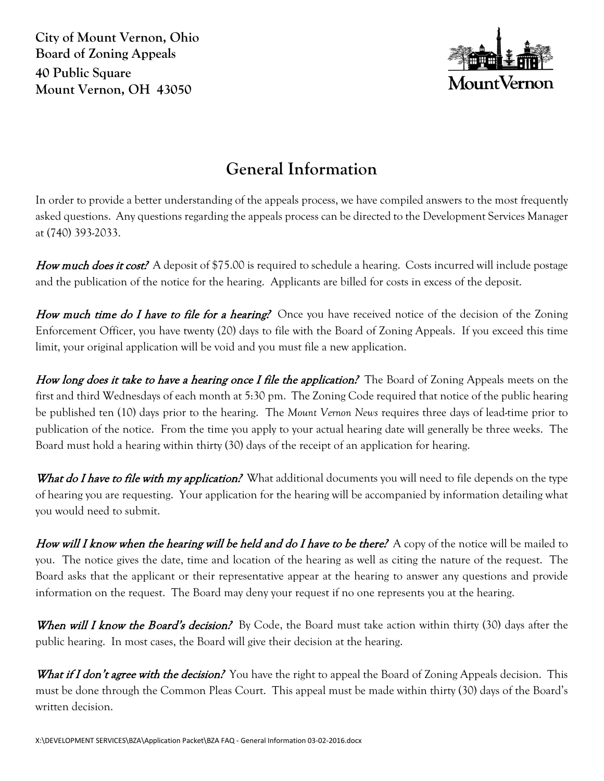**City of Mount Vernon, Ohio Board of Zoning Appeals 40 Public Square Mount Vernon, OH 43050**



# **General Information**

In order to provide a better understanding of the appeals process, we have compiled answers to the most frequently asked questions. Any questions regarding the appeals process can be directed to the Development Services Manager at (740) 393-2033.

How much does it cost? A deposit of \$75.00 is required to schedule a hearing. Costs incurred will include postage and the publication of the notice for the hearing. Applicants are billed for costs in excess of the deposit.

How much time do I have to file for a hearing? Once you have received notice of the decision of the Zoning Enforcement Officer, you have twenty (20) days to file with the Board of Zoning Appeals. If you exceed this time limit, your original application will be void and you must file a new application.

How long does it take to have a hearing once I file the application? The Board of Zoning Appeals meets on the first and third Wednesdays of each month at 5:30 pm. The Zoning Code required that notice of the public hearing be published ten (10) days prior to the hearing. The *Mount Vernon News* requires three days of lead-time prior to publication of the notice. From the time you apply to your actual hearing date will generally be three weeks. The Board must hold a hearing within thirty (30) days of the receipt of an application for hearing.

What do I have to file with my application? What additional documents you will need to file depends on the type of hearing you are requesting. Your application for the hearing will be accompanied by information detailing what you would need to submit.

How will I know when the hearing will be held and do I have to be there? A copy of the notice will be mailed to you. The notice gives the date, time and location of the hearing as well as citing the nature of the request. The Board asks that the applicant or their representative appear at the hearing to answer any questions and provide information on the request. The Board may deny your request if no one represents you at the hearing.

When will I know the Board's decision? By Code, the Board must take action within thirty (30) days after the public hearing. In most cases, the Board will give their decision at the hearing.

What if I don't agree with the decision? You have the right to appeal the Board of Zoning Appeals decision. This must be done through the Common Pleas Court. This appeal must be made within thirty (30) days of the Board's written decision.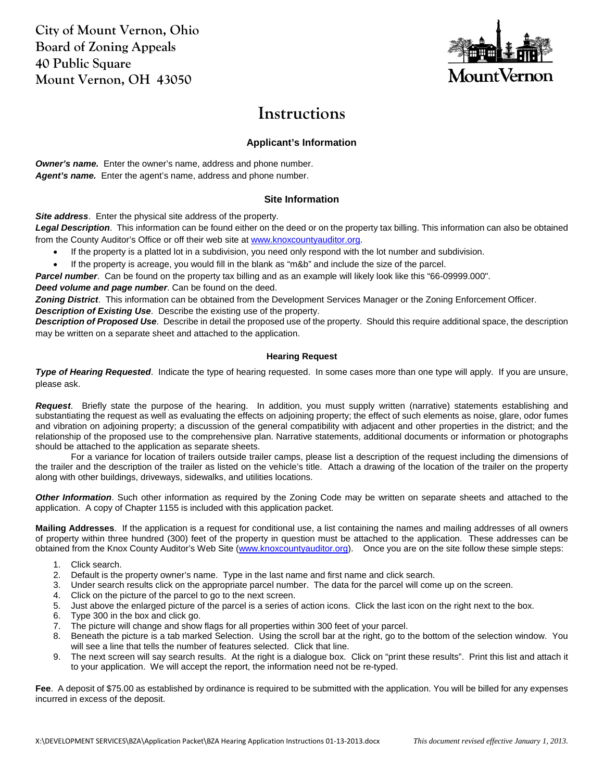**City of Mount Vernon, Ohio Board of Zoning Appeals 40 Public Square Mount Vernon, OH 43050**



## **Instructions**

## **Applicant's Information**

*Owner's name.* Enter the owner's name, address and phone number. Agent's name. Enter the agent's name, address and phone number.

## **Site Information**

*Site address*. Enter the physical site address of the property.

*Legal Description*. This information can be found either on the deed or on the property tax billing. This information can also be obtained from the County Auditor's Office or off their web site a[t www.knoxcountyauditor.org.](http://www.knoxcountyauditor.org/)

- If the property is a platted lot in a subdivision, you need only respond with the lot number and subdivision.
- If the property is acreage, you would fill in the blank as "m&b" and include the size of the parcel.

*Parcel number*. Can be found on the property tax billing and as an example will likely look like this "66-09999.000".

*Deed volume and page number*. Can be found on the deed.

*Zoning District*. This information can be obtained from the Development Services Manager or the Zoning Enforcement Officer. *Description of Existing Use*. Describe the existing use of the property.

*Description of Proposed Use*. Describe in detail the proposed use of the property. Should this require additional space, the description may be written on a separate sheet and attached to the application.

### **Hearing Request**

*Type of Hearing Requested*. Indicate the type of hearing requested. In some cases more than one type will apply. If you are unsure, please ask.

*Request*. Briefly state the purpose of the hearing. In addition, you must supply written (narrative) statements establishing and substantiating the request as well as evaluating the effects on adjoining property; the effect of such elements as noise, glare, odor fumes and vibration on adjoining property; a discussion of the general compatibility with adjacent and other properties in the district; and the relationship of the proposed use to the comprehensive plan. Narrative statements, additional documents or information or photographs should be attached to the application as separate sheets.

For a variance for location of trailers outside trailer camps, please list a description of the request including the dimensions of the trailer and the description of the trailer as listed on the vehicle's title. Attach a drawing of the location of the trailer on the property along with other buildings, driveways, sidewalks, and utilities locations.

*Other Information*. Such other information as required by the Zoning Code may be written on separate sheets and attached to the application. A copy of Chapter 1155 is included with this application packet.

**Mailing Addresses**. If the application is a request for conditional use, a list containing the names and mailing addresses of all owners of property within three hundred (300) feet of the property in question must be attached to the application. These addresses can be obtained from the Knox County Auditor's Web Site [\(www.knoxcountyauditor.org\)](http://www.knoxcountyauditor.org/). Once you are on the site follow these simple steps:

- 1. Click search.
- 2. Default is the property owner's name. Type in the last name and first name and click search.
- 3. Under search results click on the appropriate parcel number. The data for the parcel will come up on the screen.
- 4. Click on the picture of the parcel to go to the next screen.
- 5. Just above the enlarged picture of the parcel is a series of action icons. Click the last icon on the right next to the box.
- 6. Type 300 in the box and click go.
- 7. The picture will change and show flags for all properties within 300 feet of your parcel.
- 8. Beneath the picture is a tab marked Selection. Using the scroll bar at the right, go to the bottom of the selection window. You will see a line that tells the number of features selected. Click that line.
- 9. The next screen will say search results. At the right is a dialogue box. Click on "print these results". Print this list and attach it to your application. We will accept the report, the information need not be re-typed.

**Fee**. A deposit of \$75.00 as established by ordinance is required to be submitted with the application. You will be billed for any expenses incurred in excess of the deposit.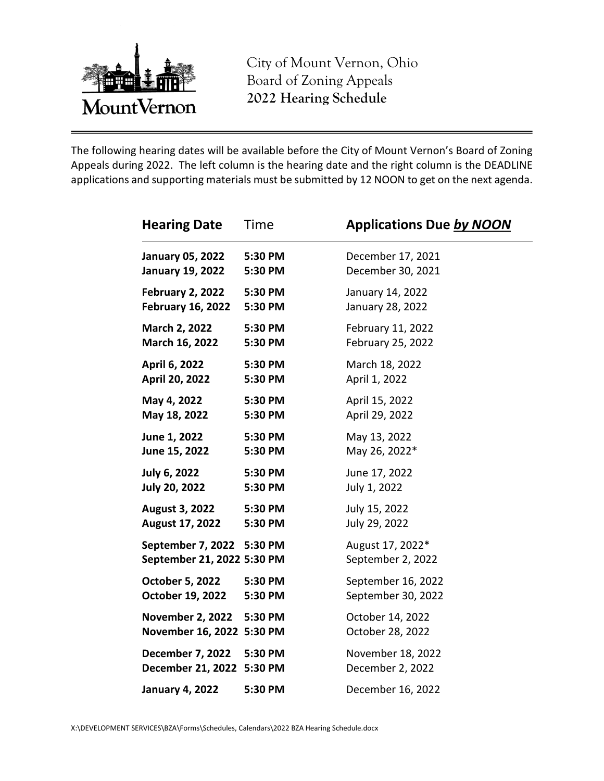

City of Mount Vernon, Ohio Board of Zoning Appeals **2022 Hearing Schedule**

The following hearing dates will be available before the City of Mount Vernon's Board of Zoning Appeals during 2022. The left column is the hearing date and the right column is the DEADLINE applications and supporting materials must be submitted by 12 NOON to get on the next agenda.

| <b>Hearing Date</b>                                     | Time    | <b>Applications Due by NOON</b>       |
|---------------------------------------------------------|---------|---------------------------------------|
| <b>January 05, 2022</b>                                 | 5:30 PM | December 17, 2021                     |
| <b>January 19, 2022</b>                                 | 5:30 PM | December 30, 2021                     |
| February 2, 2022                                        | 5:30 PM | January 14, 2022                      |
| <b>February 16, 2022</b>                                | 5:30 PM | January 28, 2022                      |
| March 2, 2022                                           | 5:30 PM | February 11, 2022                     |
| March 16, 2022                                          | 5:30 PM | February 25, 2022                     |
| April 6, 2022                                           | 5:30 PM | March 18, 2022                        |
| April 20, 2022                                          | 5:30 PM | April 1, 2022                         |
| May 4, 2022                                             | 5:30 PM | April 15, 2022                        |
| May 18, 2022                                            | 5:30 PM | April 29, 2022                        |
| June 1, 2022                                            | 5:30 PM | May 13, 2022                          |
| June 15, 2022                                           | 5:30 PM | May 26, 2022*                         |
| <b>July 6, 2022</b>                                     | 5:30 PM | June 17, 2022                         |
| <b>July 20, 2022</b>                                    | 5:30 PM | July 1, 2022                          |
| <b>August 3, 2022</b>                                   | 5:30 PM | July 15, 2022                         |
| August 17, 2022                                         | 5:30 PM | July 29, 2022                         |
| September 7, 2022 5:30 PM<br>September 21, 2022 5:30 PM |         | August 17, 2022*<br>September 2, 2022 |
| <b>October 5, 2022</b>                                  | 5:30 PM | September 16, 2022                    |
| October 19, 2022                                        | 5:30 PM | September 30, 2022                    |
| <b>November 2, 2022</b><br>November 16, 2022 5:30 PM    | 5:30 PM | October 14, 2022<br>October 28, 2022  |
| <b>December 7, 2022</b><br>December 21, 2022 5:30 PM    | 5:30 PM | November 18, 2022<br>December 2, 2022 |
| <b>January 4, 2022</b>                                  | 5:30 PM | December 16, 2022                     |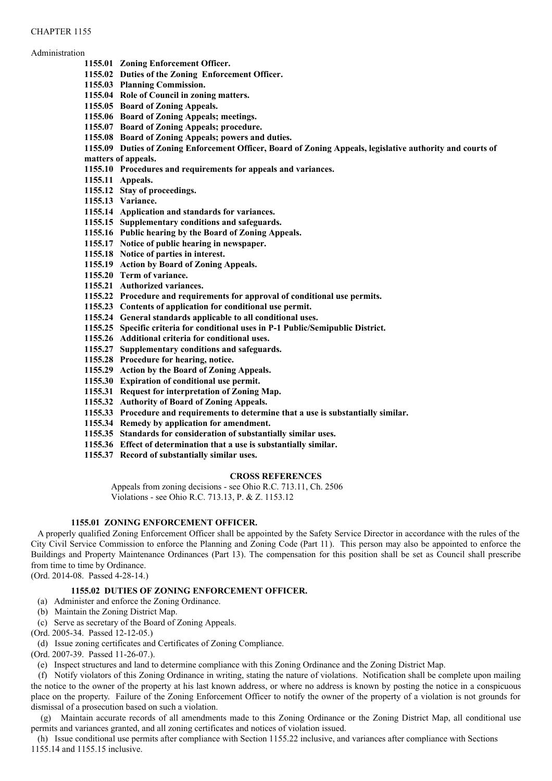#### CHAPTER 1155

#### Administration

- **1155.01 Zoning Enforcement Officer.**
	- **1155.02 Duties of the Zoning Enforcement Officer.**
	- **1155.03 Planning Commission.**
	- **1155.04 Role of Council in zoning matters.**
	- **1155.05 Board of Zoning Appeals.**
	- **1155.06 Board of Zoning Appeals; meetings.**
	- **1155.07 Board of Zoning Appeals; procedure.**
	- **1155.08 Board of Zoning Appeals; powers and duties.**
	- **1155.09 Duties of Zoning Enforcement Officer, Board of Zoning Appeals, legislative authority and courts of**
	- **matters of appeals.**
	- **1155.10 Procedures and requirements for appeals and variances.**
	- **1155.11 Appeals.**
	- **1155.12 Stay of proceedings.**
	- **1155.13 Variance.**
	- **1155.14 Application and standards for variances.**
	- **1155.15 Supplementary conditions and safeguards.**
	- **1155.16 Public hearing by the Board of Zoning Appeals.**
	- **1155.17 Notice of public hearing in newspaper.**
	- **1155.18 Notice of parties in interest.**
	- **1155.19 Action by Board of Zoning Appeals.**
	- **1155.20 Term of variance.**
	- **1155.21 Authorized variances.**
	- **1155.22 Procedure and requirements for approval of conditional use permits.**
	- **1155.23 Contents of application for conditional use permit.**
	- **1155.24 General standards applicable to all conditional uses.**
	- **1155.25 Specific criteria for conditional uses in P-1 Public/Semipublic District.**
	- **1155.26 Additional criteria for conditional uses.**
	- **1155.27 Supplementary conditions and safeguards.**
	- **1155.28 Procedure for hearing, notice.**
	- **1155.29 Action by the Board of Zoning Appeals.**
	- **1155.30 Expiration of conditional use permit.**
	- **1155.31 Request for interpretation of Zoning Map.**
	- **1155.32 Authority of Board of Zoning Appeals.**
	- **1155.33 Procedure and requirements to determine that a use is substantially similar.**
	- **1155.34 Remedy by application for amendment.**
	- **1155.35 Standards for consideration of substantially similar uses.**
	- **1155.36 Effect of determination that a use is substantially similar.**
	- **1155.37 Record of substantially similar uses.**

#### **CROSS REFERENCES**

Appeals from zoning decisions - see Ohio R.C. 713.11, Ch. 2506 Violations - see Ohio R.C. 713.13, P. & Z. 1153.12

## **1155.01 ZONING ENFORCEMENT OFFICER.**

A properly qualified Zoning Enforcement Officer shall be appointed by the Safety Service Director in accordance with the rules of the City Civil Service Commission to enforce the Planning and Zoning Code (Part 11). This person may also be appointed to enforce the Buildings and Property Maintenance Ordinances (Part 13). The compensation for this position shall be set as Council shall prescribe from time to time by Ordinance.

(Ord. 2014-08. Passed 4-28-14.)

## **1155.02 DUTIES OF ZONING ENFORCEMENT OFFICER.**

- (a) Administer and enforce the Zoning Ordinance.
- (b) Maintain the Zoning District Map.
- (c) Serve as secretary of the Board of Zoning Appeals.
- (Ord. 2005-34. Passed 12-12-05.)
- (d) Issue zoning certificates and Certificates of Zoning Compliance.

(Ord. 2007-39. Passed 11-26-07.).

(e) Inspect structures and land to determine compliance with this Zoning Ordinance and the Zoning District Map.

(f) Notify violators of this Zoning Ordinance in writing, stating the nature of violations. Notification shall be complete upon mailing the notice to the owner of the property at his last known address, or where no address is known by posting the notice in a conspicuous place on the property. Failure of the Zoning Enforcement Officer to notify the owner of the property of a violation is not grounds for dismissal of a prosecution based on such a violation.

(g) Maintain accurate records of all amendments made to this Zoning Ordinance or the Zoning District Map, all conditional use permits and variances granted, and all zoning certificates and notices of violation issued.

(h) Issue conditional use permits after compliance with Section 1155.22 inclusive, and variances after compliance with Sections 1155.14 and 1155.15 inclusive.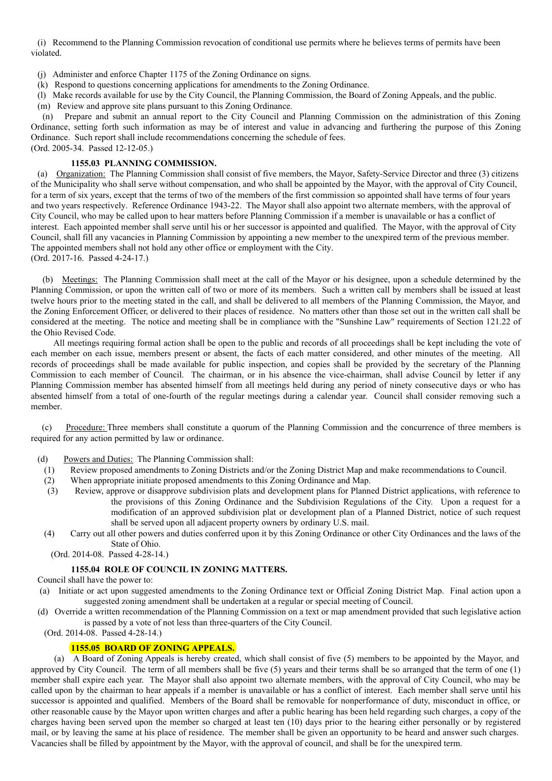(i) Recommend to the Planning Commission revocation of conditional use permits where he believes terms of permits have been violated.

- (j) Administer and enforce Chapter 1175 of the Zoning Ordinance on signs.
- (k) Respond to questions concerning applications for amendments to the Zoning Ordinance.
- (l) Make records available for use by the City Council, the Planning Commission, the Board of Zoning Appeals, and the public.
- (m) Review and approve site plans pursuant to this Zoning Ordinance.

(n) Prepare and submit an annual report to the City Council and Planning Commission on the administration of this Zoning Ordinance, setting forth such information as may be of interest and value in advancing and furthering the purpose of this Zoning Ordinance. Such report shall include recommendations concerning the schedule of fees. (Ord. 2005-34. Passed 12-12-05.)

#### **1155.03 PLANNING COMMISSION.**

(a) Organization: The Planning Commission shall consist of five members, the Mayor, Safety-Service Director and three (3) citizens of the Municipality who shall serve without compensation, and who shall be appointed by the Mayor, with the approval of City Council, for a term of six years, except that the terms of two of the members of the first commission so appointed shall have terms of four years and two years respectively. Reference Ordinance 1943-22. The Mayor shall also appoint two alternate members, with the approval of City Council, who may be called upon to hear matters before Planning Commission if a member is unavailable or has a conflict of interest. Each appointed member shall serve until his or her successor is appointed and qualified. The Mayor, with the approval of City Council, shall fill any vacancies in Planning Commission by appointing a new member to the unexpired term of the previous member. The appointed members shall not hold any other office or employment with the City. (Ord. 2017-16. Passed 4-24-17.)

(b) Meetings: The Planning Commission shall meet at the call of the Mayor or his designee, upon a schedule determined by the

Planning Commission, or upon the written call of two or more of its members. Such a written call by members shall be issued at least twelve hours prior to the meeting stated in the call, and shall be delivered to all members of the Planning Commission, the Mayor, and the Zoning Enforcement Officer, or delivered to their places of residence. No matters other than those set out in the written call shall be considered at the meeting. The notice and meeting shall be in compliance with the "Sunshine Law" requirements of Section 121.22 of the Ohio Revised Code.

All meetings requiring formal action shall be open to the public and records of all proceedings shall be kept including the vote of each member on each issue, members present or absent, the facts of each matter considered, and other minutes of the meeting. All records of proceedings shall be made available for public inspection, and copies shall be provided by the secretary of the Planning Commission to each member of Council. The chairman, or in his absence the vice-chairman, shall advise Council by letter if any Planning Commission member has absented himself from all meetings held during any period of ninety consecutive days or who has absented himself from a total of one-fourth of the regular meetings during a calendar year. Council shall consider removing such a member.

(c) Procedure: Three members shall constitute a quorum of the Planning Commission and the concurrence of three members is required for any action permitted by law or ordinance.

(d) Powers and Duties: The Planning Commission shall:

- (1) Review proposed amendments to Zoning Districts and/or the Zoning District Map and make recommendations to Council.
- (2) When appropriate initiate proposed amendments to this Zoning Ordinance and Map.
- (3) Review, approve or disapprove subdivision plats and development plans for Planned District applications, with reference to the provisions of this Zoning Ordinance and the Subdivision Regulations of the City. Upon a request for a modification of an approved subdivision plat or development plan of a Planned District, notice of such request shall be served upon all adjacent property owners by ordinary U.S. mail.
- (4) Carry out all other powers and duties conferred upon it by this Zoning Ordinance or other City Ordinances and the laws of the State of Ohio.
	- (Ord. 2014-08. Passed 4-28-14.)

#### **1155.04 ROLE OF COUNCIL IN ZONING MATTERS.**

- Council shall have the power to:
- (a) Initiate or act upon suggested amendments to the Zoning Ordinance text or Official Zoning District Map. Final action upon a suggested zoning amendment shall be undertaken at a regular or special meeting of Council.
- (d) Override a written recommendation of the Planning Commission on a text or map amendment provided that such legislative action is passed by a vote of not less than three-quarters of the City Council.
	- (Ord. 2014-08. Passed 4-28-14.)

#### **1155.05 BOARD OF ZONING APPEALS.**

(a) A Board of Zoning Appeals is hereby created, which shall consist of five (5) members to be appointed by the Mayor, and approved by City Council. The term of all members shall be five  $(5)$  years and their terms shall be so arranged that the term of one  $(1)$ member shall expire each year. The Mayor shall also appoint two alternate members, with the approval of City Council, who may be called upon by the chairman to hear appeals if a member is unavailable or has a conflict of interest. Each member shall serve until his successor is appointed and qualified. Members of the Board shall be removable for nonperformance of duty, misconduct in office, or other reasonable cause by the Mayor upon written charges and after a public hearing has been held regarding such charges, a copy of the charges having been served upon the member so charged at least ten (10) days prior to the hearing either personally or by registered mail, or by leaving the same at his place of residence. The member shall be given an opportunity to be heard and answer such charges. Vacancies shall be filled by appointment by the Mayor, with the approval of council, and shall be for the unexpired term.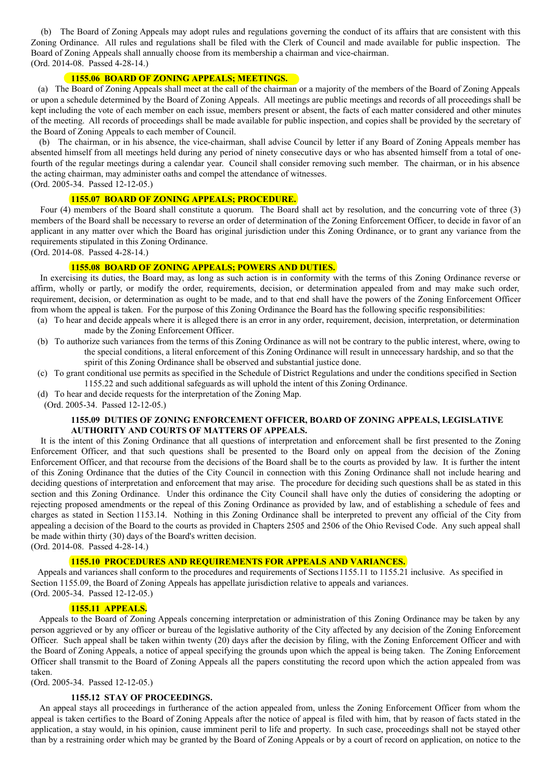(b) The Board of Zoning Appeals may adopt rules and regulations governing the conduct of its affairs that are consistent with this Zoning Ordinance. All rules and regulations shall be filed with the Clerk of Council and made available for public inspection. The Board of Zoning Appeals shall annually choose from its membership a chairman and vice-chairman. (Ord. 2014-08. Passed 4-28-14.)

#### **1155.06 BOARD OF ZONING APPEALS; MEETINGS.**

(a) The Board of Zoning Appeals shall meet at the call of the chairman or a majority of the members of the Board of Zoning Appeals or upon a schedule determined by the Board of Zoning Appeals. All meetings are public meetings and records of all proceedings shall be kept including the vote of each member on each issue, members present or absent, the facts of each matter considered and other minutes of the meeting. All records of proceedings shall be made available for public inspection, and copies shall be provided by the secretary of the Board of Zoning Appeals to each member of Council.

(b) The chairman, or in his absence, the vice-chairman, shall advise Council by letter if any Board of Zoning Appeals member has absented himself from all meetings held during any period of ninety consecutive days or who has absented himself from a total of onefourth of the regular meetings during a calendar year. Council shall consider removing such member. The chairman, or in his absence the acting chairman, may administer oaths and compel the attendance of witnesses.

(Ord. 2005-34. Passed 12-12-05.)

## **1155.07 BOARD OF ZONING APPEALS; PROCEDURE.**

Four (4) members of the Board shall constitute a quorum. The Board shall act by resolution, and the concurring vote of three (3) members of the Board shall be necessary to reverse an order of determination of the Zoning Enforcement Officer, to decide in favor of an applicant in any matter over which the Board has original jurisdiction under this Zoning Ordinance, or to grant any variance from the requirements stipulated in this Zoning Ordinance.

(Ord. 2014-08. Passed 4-28-14.)

#### **1155.08 BOARD OF ZONING APPEALS; POWERS AND DUTIES.**

In exercising its duties, the Board may, as long as such action is in conformity with the terms of this Zoning Ordinance reverse or affirm, wholly or partly, or modify the order, requirements, decision, or determination appealed from and may make such order, requirement, decision, or determination as ought to be made, and to that end shall have the powers of the Zoning Enforcement Officer from whom the appeal is taken. For the purpose of this Zoning Ordinance the Board has the following specific responsibilities:

- (a) To hear and decide appeals where it is alleged there is an error in any order, requirement, decision, interpretation, or determination made by the Zoning Enforcement Officer.
- (b) To authorize such variances from the terms of this Zoning Ordinance as will not be contrary to the public interest, where, owing to the special conditions, a literal enforcement of this Zoning Ordinance will result in unnecessary hardship, and so that the spirit of this Zoning Ordinance shall be observed and substantial justice done.
- (c) To grant conditional use permits as specified in the Schedule of District Regulations and under the conditions specified in Section 1155.22 and such additional safeguards as will uphold the intent of this Zoning Ordinance.
- (d) To hear and decide requests for the interpretation of the Zoning Map.
	- (Ord. 2005-34. Passed 12-12-05.)

#### **1155.09 DUTIES OF ZONING ENFORCEMENT OFFICER, BOARD OF ZONING APPEALS, LEGISLATIVE AUTHORITY AND COURTS OF MATTERS OF APPEALS.**

It is the intent of this Zoning Ordinance that all questions of interpretation and enforcement shall be first presented to the Zoning Enforcement Officer, and that such questions shall be presented to the Board only on appeal from the decision of the Zoning Enforcement Officer, and that recourse from the decisions of the Board shall be to the courts as provided by law. It is further the intent of this Zoning Ordinance that the duties of the City Council in connection with this Zoning Ordinance shall not include hearing and deciding questions of interpretation and enforcement that may arise. The procedure for deciding such questions shall be as stated in this section and this Zoning Ordinance. Under this ordinance the City Council shall have only the duties of considering the adopting or rejecting proposed amendments or the repeal of this Zoning Ordinance as provided by law, and of establishing a schedule of fees and charges as stated in Section 1153.14. Nothing in this Zoning Ordinance shall be interpreted to prevent any official of the City from appealing a decision of the Board to the courts as provided in Chapters 2505 and 2506 of the Ohio Revised Code. Any such appeal shall be made within thirty (30) days of the Board's written decision.

(Ord. 2014-08. Passed 4-28-14.)

#### **1155.10 PROCEDURES AND REQUIREMENTS FOR APPEALS AND VARIANCES.**

Appeals and variances shall conform to the procedures and requirements of Sections1155.11 to 1155.21 inclusive. As specified in Section 1155.09, the Board of Zoning Appeals has appellate jurisdiction relative to appeals and variances. (Ord. 2005-34. Passed 12-12-05.)

#### **1155.11 APPEALS.**

Appeals to the Board of Zoning Appeals concerning interpretation or administration of this Zoning Ordinance may be taken by any person aggrieved or by any officer or bureau of the legislative authority of the City affected by any decision of the Zoning Enforcement Officer. Such appeal shall be taken within twenty (20) days after the decision by filing, with the Zoning Enforcement Officer and with the Board of Zoning Appeals, a notice of appeal specifying the grounds upon which the appeal is being taken. The Zoning Enforcement Officer shall transmit to the Board of Zoning Appeals all the papers constituting the record upon which the action appealed from was taken.

(Ord. 2005-34. Passed 12-12-05.)

#### **1155.12 STAY OF PROCEEDINGS.**

An appeal stays all proceedings in furtherance of the action appealed from, unless the Zoning Enforcement Officer from whom the appeal is taken certifies to the Board of Zoning Appeals after the notice of appeal is filed with him, that by reason of facts stated in the application, a stay would, in his opinion, cause imminent peril to life and property. In such case, proceedings shall not be stayed other than by a restraining order which may be granted by the Board of Zoning Appeals or by a court of record on application, on notice to the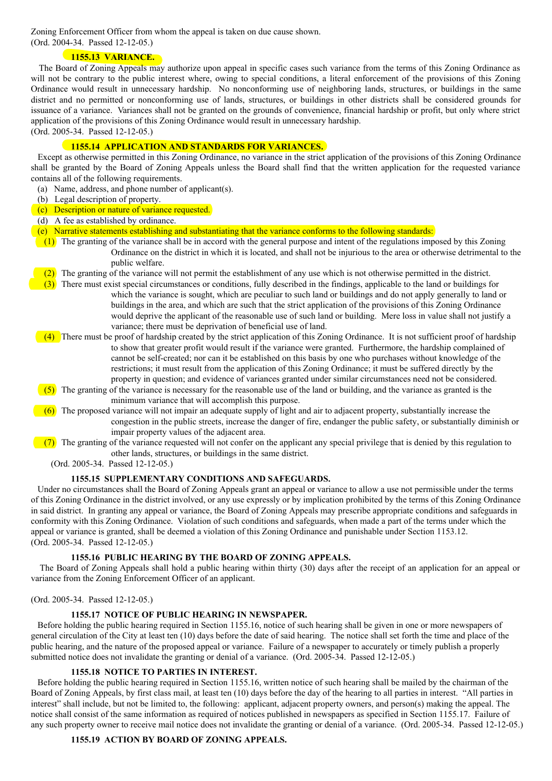Zoning Enforcement Officer from whom the appeal is taken on due cause shown. (Ord. 2004-34. Passed 12-12-05.)

## **1155.13 VARIANCE.**

The Board of Zoning Appeals may authorize upon appeal in specific cases such variance from the terms of this Zoning Ordinance as will not be contrary to the public interest where, owing to special conditions, a literal enforcement of the provisions of this Zoning Ordinance would result in unnecessary hardship. No nonconforming use of neighboring lands, structures, or buildings in the same district and no permitted or nonconforming use of lands, structures, or buildings in other districts shall be considered grounds for issuance of a variance. Variances shall not be granted on the grounds of convenience, financial hardship or profit, but only where strict application of the provisions of this Zoning Ordinance would result in unnecessary hardship. (Ord. 2005-34. Passed 12-12-05.)

## **1155.14 APPLICATION AND STANDARDS FOR VARIANCES.**

Except as otherwise permitted in this Zoning Ordinance, no variance in the strict application of the provisions of this Zoning Ordinance shall be granted by the Board of Zoning Appeals unless the Board shall find that the written application for the requested variance contains all of the following requirements.

- (a) Name, address, and phone number of applicant(s).
- (b) Legal description of property.
- (c) Description or nature of variance requested.
- (d) A fee as established by ordinance.
- (e) Narrative statements establishing and substantiating that the variance conforms to the following standards:
- (1) The granting of the variance shall be in accord with the general purpose and intent of the regulations imposed by this Zoning Ordinance on the district in which it is located, and shall not be injurious to the area or otherwise detrimental to the public welfare.
	- (2) The granting of the variance will not permit the establishment of any use which is not otherwise permitted in the district.
	- (3) There must exist special circumstances or conditions, fully described in the findings, applicable to the land or buildings for which the variance is sought, which are peculiar to such land or buildings and do not apply generally to land or buildings in the area, and which are such that the strict application of the provisions of this Zoning Ordinance would deprive the applicant of the reasonable use of such land or building. Mere loss in value shall not justify a variance; there must be deprivation of beneficial use of land.
- (4) There must be proof of hardship created by the strict application of this Zoning Ordinance. It is not sufficient proof of hardship to show that greater profit would result if the variance were granted. Furthermore, the hardship complained of cannot be self-created; nor can it be established on this basis by one who purchases without knowledge of the restrictions; it must result from the application of this Zoning Ordinance; it must be suffered directly by the property in question; and evidence of variances granted under similar circumstances need not be considered.
- (5) The granting of the variance is necessary for the reasonable use of the land or building, and the variance as granted is the minimum variance that will accomplish this purpose.
- $(6)$  The proposed variance will not impair an adequate supply of light and air to adjacent property, substantially increase the congestion in the public streets, increase the danger of fire, endanger the public safety, or substantially diminish or impair property values of the adjacent area.
- $(7)$  The granting of the variance requested will not confer on the applicant any special privilege that is denied by this regulation to other lands, structures, or buildings in the same district.
	- (Ord. 2005-34. Passed 12-12-05.)

## **1155.15 SUPPLEMENTARY CONDITIONS AND SAFEGUARDS.**

Under no circumstances shall the Board of Zoning Appeals grant an appeal or variance to allow a use not permissible under the terms of this Zoning Ordinance in the district involved, or any use expressly or by implication prohibited by the terms of this Zoning Ordinance in said district. In granting any appeal or variance, the Board of Zoning Appeals may prescribe appropriate conditions and safeguards in conformity with this Zoning Ordinance. Violation of such conditions and safeguards, when made a part of the terms under which the appeal or variance is granted, shall be deemed a violation of this Zoning Ordinance and punishable under Section 1153.12. (Ord. 2005-34. Passed 12-12-05.)

## **1155.16 PUBLIC HEARING BY THE BOARD OF ZONING APPEALS.**

The Board of Zoning Appeals shall hold a public hearing within thirty (30) days after the receipt of an application for an appeal or variance from the Zoning Enforcement Officer of an applicant.

#### (Ord. 2005-34. Passed 12-12-05.)

## **1155.17 NOTICE OF PUBLIC HEARING IN NEWSPAPER.**

Before holding the public hearing required in Section 1155.16, notice of such hearing shall be given in one or more newspapers of general circulation of the City at least ten (10) days before the date of said hearing. The notice shall set forth the time and place of the public hearing, and the nature of the proposed appeal or variance. Failure of a newspaper to accurately or timely publish a properly submitted notice does not invalidate the granting or denial of a variance. (Ord. 2005-34. Passed 12-12-05.)

#### **1155.18 NOTICE TO PARTIES IN INTEREST.**

Before holding the public hearing required in Section 1155.16, written notice of such hearing shall be mailed by the chairman of the Board of Zoning Appeals, by first class mail, at least ten (10) days before the day of the hearing to all parties in interest. "All parties in interest" shall include, but not be limited to, the following: applicant, adjacent property owners, and person(s) making the appeal. The notice shall consist of the same information as required of notices published in newspapers as specified in Section 1155.17. Failure of any such property owner to receive mail notice does not invalidate the granting or denial of a variance. (Ord. 2005-34. Passed 12-12-05.)

## **1155.19 ACTION BY BOARD OF ZONING APPEALS.**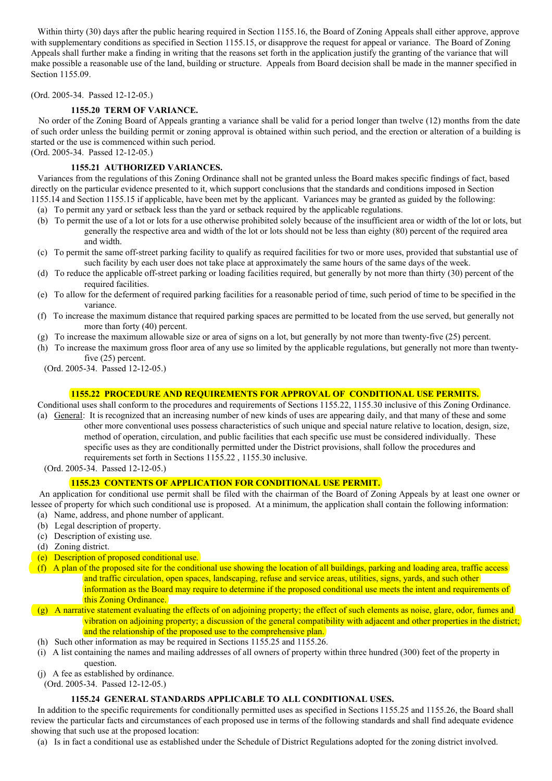Within thirty (30) days after the public hearing required in Section 1155.16, the Board of Zoning Appeals shall either approve, approve with supplementary conditions as specified in Section 1155.15, or disapprove the request for appeal or variance. The Board of Zoning Appeals shall further make a finding in writing that the reasons set forth in the application justify the granting of the variance that will make possible a reasonable use of the land, building or structure. Appeals from Board decision shall be made in the manner specified in Section 1155.09.

### (Ord. 2005-34. Passed 12-12-05.)

## **1155.20 TERM OF VARIANCE.**

No order of the Zoning Board of Appeals granting a variance shall be valid for a period longer than twelve (12) months from the date of such order unless the building permit or zoning approval is obtained within such period, and the erection or alteration of a building is started or the use is commenced within such period.

(Ord. 2005-34. Passed 12-12-05.)

## **1155.21 AUTHORIZED VARIANCES.**

Variances from the regulations of this Zoning Ordinance shall not be granted unless the Board makes specific findings of fact, based directly on the particular evidence presented to it, which support conclusions that the standards and conditions imposed in Section 1155.14 and Section 1155.15 if applicable, have been met by the applicant. Variances may be granted as guided by the following:

- (a) To permit any yard or setback less than the yard or setback required by the applicable regulations.
- (b) To permit the use of a lot or lots for a use otherwise prohibited solely because of the insufficient area or width of the lot or lots, but generally the respective area and width of the lot or lots should not be less than eighty (80) percent of the required area and width.
- (c) To permit the same off-street parking facility to qualify as required facilities for two or more uses, provided that substantial use of such facility by each user does not take place at approximately the same hours of the same days of the week.
- (d) To reduce the applicable off-street parking or loading facilities required, but generally by not more than thirty (30) percent of the required facilities.
- (e) To allow for the deferment of required parking facilities for a reasonable period of time, such period of time to be specified in the variance.
- (f) To increase the maximum distance that required parking spaces are permitted to be located from the use served, but generally not more than forty (40) percent.
- (g) To increase the maximum allowable size or area of signs on a lot, but generally by not more than twenty-five (25) percent.
- (h) To increase the maximum gross floor area of any use so limited by the applicable regulations, but generally not more than twentyfive (25) percent.

(Ord. 2005-34. Passed 12-12-05.)

## **1155.22 PROCEDURE AND REQUIREMENTS FOR APPROVAL OF CONDITIONAL USE PERMITS.**

Conditional uses shall conform to the procedures and requirements of Sections 1155.22, 1155.30 inclusive of this Zoning Ordinance.

- (a) General: It is recognized that an increasing number of new kinds of uses are appearing daily, and that many of these and some other more conventional uses possess characteristics of such unique and special nature relative to location, design, size, method of operation, circulation, and public facilities that each specific use must be considered individually. These specific uses as they are conditionally permitted under the District provisions, shall follow the procedures and requirements set forth in Sections 1155.22 , 1155.30 inclusive.
	- (Ord. 2005-34. Passed 12-12-05.)

## **1155.23 CONTENTS OF APPLICATION FOR CONDITIONAL USE PERMIT.**

An application for conditional use permit shall be filed with the chairman of the Board of Zoning Appeals by at least one owner or lessee of property for which such conditional use is proposed. At a minimum, the application shall contain the following information: (a) Name, address, and phone number of applicant.

- (b) Legal description of property.
- (c) Description of existing use.
- (d) Zoning district.
- (e) Description of proposed conditional use.
- (f) A plan of the proposed site for the conditional use showing the location of all buildings, parking and loading area, traffic access and traffic circulation, open spaces, landscaping, refuse and service areas, utilities, signs, yards, and such other information as the Board may require to determine if the proposed conditional use meets the intent and requirements of this Zoning Ordinance.
- (g) A narrative statement evaluating the effects of on adjoining property; the effect of such elements as noise, glare, odor, fumes and vibration on adjoining property; a discussion of the general compatibility with adjacent and other properties in the district; and the relationship of the proposed use to the comprehensive plan.
- (h) Such other information as may be required in Sections 1155.25 and 1155.26.
- (i) A list containing the names and mailing addresses of all owners of property within three hundred (300) feet of the property in question.
- (j) A fee as established by ordinance.
	- (Ord. 2005-34. Passed 12-12-05.)

## **1155.24 GENERAL STANDARDS APPLICABLE TO ALL CONDITIONAL USES.**

In addition to the specific requirements for conditionally permitted uses as specified in Sections 1155.25 and 1155.26, the Board shall review the particular facts and circumstances of each proposed use in terms of the following standards and shall find adequate evidence showing that such use at the proposed location:

(a) Is in fact a conditional use as established under the Schedule of District Regulations adopted for the zoning district involved.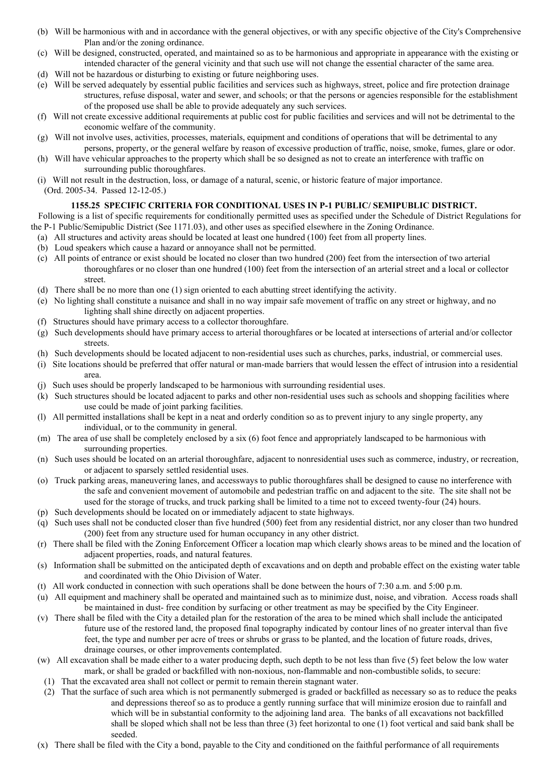- (b) Will be harmonious with and in accordance with the general objectives, or with any specific objective of the City's Comprehensive Plan and/or the zoning ordinance.
- (c) Will be designed, constructed, operated, and maintained so as to be harmonious and appropriate in appearance with the existing or intended character of the general vicinity and that such use will not change the essential character of the same area.
- (d) Will not be hazardous or disturbing to existing or future neighboring uses.
- (e) Will be served adequately by essential public facilities and services such as highways, street, police and fire protection drainage structures, refuse disposal, water and sewer, and schools; or that the persons or agencies responsible for the establishment of the proposed use shall be able to provide adequately any such services.
- (f) Will not create excessive additional requirements at public cost for public facilities and services and will not be detrimental to the economic welfare of the community.
- (g) Will not involve uses, activities, processes, materials, equipment and conditions of operations that will be detrimental to any persons, property, or the general welfare by reason of excessive production of traffic, noise, smoke, fumes, glare or odor.
- (h) Will have vehicular approaches to the property which shall be so designed as not to create an interference with traffic on surrounding public thoroughfares.
- (i) Will not result in the destruction, loss, or damage of a natural, scenic, or historic feature of major importance.
	- (Ord. 2005-34. Passed 12-12-05.)

## **1155.25 SPECIFIC CRITERIA FOR CONDITIONAL USES IN P-1 PUBLIC/ SEMIPUBLIC DISTRICT.**

Following is a list of specific requirements for conditionally permitted uses as specified under the Schedule of District Regulations for the P-1 Public/Semipublic District (See 1171.03), and other uses as specified elsewhere in the Zoning Ordinance.

- (a) All structures and activity areas should be located at least one hundred (100) feet from all property lines.
- (b) Loud speakers which cause a hazard or annoyance shall not be permitted.
- (c) All points of entrance or exist should be located no closer than two hundred (200) feet from the intersection of two arterial thoroughfares or no closer than one hundred (100) feet from the intersection of an arterial street and a local or collector street.
- (d) There shall be no more than one (1) sign oriented to each abutting street identifying the activity.
- (e) No lighting shall constitute a nuisance and shall in no way impair safe movement of traffic on any street or highway, and no lighting shall shine directly on adjacent properties.
- (f) Structures should have primary access to a collector thoroughfare.
- (g) Such developments should have primary access to arterial thoroughfares or be located at intersections of arterial and/or collector streets.
- (h) Such developments should be located adjacent to non-residential uses such as churches, parks, industrial, or commercial uses.
- (i) Site locations should be preferred that offer natural or man-made barriers that would lessen the effect of intrusion into a residential area.
- (j) Such uses should be properly landscaped to be harmonious with surrounding residential uses.
- (k) Such structures should be located adjacent to parks and other non-residential uses such as schools and shopping facilities where use could be made of joint parking facilities.
- (l) All permitted installations shall be kept in a neat and orderly condition so as to prevent injury to any single property, any individual, or to the community in general.
- (m) The area of use shall be completely enclosed by a six (6) foot fence and appropriately landscaped to be harmonious with surrounding properties.
- (n) Such uses should be located on an arterial thoroughfare, adjacent to nonresidential uses such as commerce, industry, or recreation, or adjacent to sparsely settled residential uses.
- (o) Truck parking areas, maneuvering lanes, and accessways to public thoroughfares shall be designed to cause no interference with the safe and convenient movement of automobile and pedestrian traffic on and adjacent to the site. The site shall not be used for the storage of trucks, and truck parking shall be limited to a time not to exceed twenty-four (24) hours.
- (p) Such developments should be located on or immediately adjacent to state highways.
- (q) Such uses shall not be conducted closer than five hundred (500) feet from any residential district, nor any closer than two hundred (200) feet from any structure used for human occupancy in any other district.
- (r) There shall be filed with the Zoning Enforcement Officer a location map which clearly shows areas to be mined and the location of adjacent properties, roads, and natural features.
- (s) Information shall be submitted on the anticipated depth of excavations and on depth and probable effect on the existing water table and coordinated with the Ohio Division of Water.
- (t) All work conducted in connection with such operations shall be done between the hours of 7:30 a.m. and 5:00 p.m.
- (u) All equipment and machinery shall be operated and maintained such as to minimize dust, noise, and vibration. Access roads shall be maintained in dust- free condition by surfacing or other treatment as may be specified by the City Engineer.
- (v) There shall be filed with the City a detailed plan for the restoration of the area to be mined which shall include the anticipated future use of the restored land, the proposed final topography indicated by contour lines of no greater interval than five feet, the type and number per acre of trees or shrubs or grass to be planted, and the location of future roads, drives, drainage courses, or other improvements contemplated.
- (w) All excavation shall be made either to a water producing depth, such depth to be not less than five (5) feet below the low water mark, or shall be graded or backfilled with non-noxious, non-flammable and non-combustible solids, to secure:
- (1) That the excavated area shall not collect or permit to remain therein stagnant water.
- (2) That the surface of such area which is not permanently submerged is graded or backfilled as necessary so as to reduce the peaks and depressions thereof so as to produce a gently running surface that will minimize erosion due to rainfall and which will be in substantial conformity to the adjoining land area. The banks of all excavations not backfilled shall be sloped which shall not be less than three (3) feet horizontal to one (1) foot vertical and said bank shall be seeded.
- (x) There shall be filed with the City a bond, payable to the City and conditioned on the faithful performance of all requirements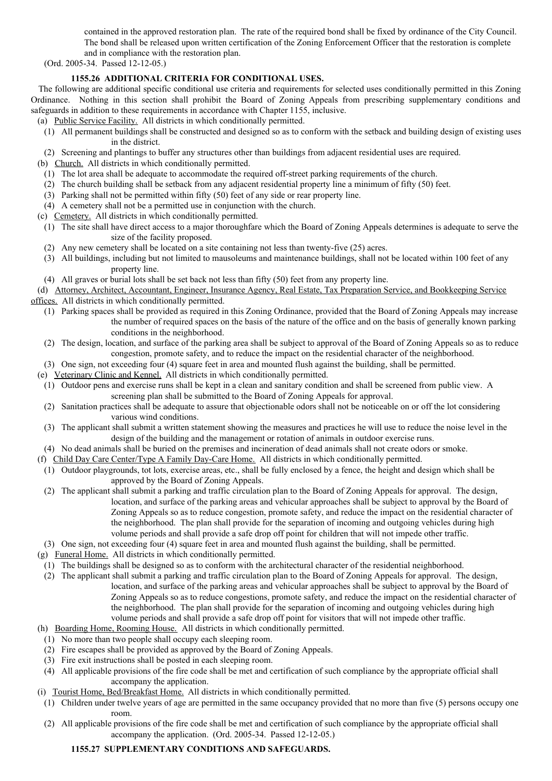contained in the approved restoration plan. The rate of the required bond shall be fixed by ordinance of the City Council. The bond shall be released upon written certification of the Zoning Enforcement Officer that the restoration is complete and in compliance with the restoration plan.

(Ord. 2005-34. Passed 12-12-05.)

## **1155.26 ADDITIONAL CRITERIA FOR CONDITIONAL USES.**

The following are additional specific conditional use criteria and requirements for selected uses conditionally permitted in this Zoning Ordinance. Nothing in this section shall prohibit the Board of Zoning Appeals from prescribing supplementary conditions and safeguards in addition to these requirements in accordance with Chapter 1155, inclusive.

(a) Public Service Facility. All districts in which conditionally permitted.

- (1) All permanent buildings shall be constructed and designed so as to conform with the setback and building design of existing uses in the district.
- (2) Screening and plantings to buffer any structures other than buildings from adjacent residential uses are required.

(b) Church. All districts in which conditionally permitted.

- (1) The lot area shall be adequate to accommodate the required off-street parking requirements of the church.
- (2) The church building shall be setback from any adjacent residential property line a minimum of fifty (50) feet.
- (3) Parking shall not be permitted within fifty (50) feet of any side or rear property line.
- (4) A cemetery shall not be a permitted use in conjunction with the church.

(c) Cemetery. All districts in which conditionally permitted.

- (1) The site shall have direct access to a major thoroughfare which the Board of Zoning Appeals determines is adequate to serve the size of the facility proposed.
- (2) Any new cemetery shall be located on a site containing not less than twenty-five (25) acres.
- (3) All buildings, including but not limited to mausoleums and maintenance buildings, shall not be located within 100 feet of any property line.
- (4) All graves or burial lots shall be set back not less than fifty (50) feet from any property line.

(d) Attorney, Architect, Accountant, Engineer, Insurance Agency, Real Estate, Tax Preparation Service, and Bookkeeping Service offices. All districts in which conditionally permitted.

- (1) Parking spaces shall be provided as required in this Zoning Ordinance, provided that the Board of Zoning Appeals may increase the number of required spaces on the basis of the nature of the office and on the basis of generally known parking conditions in the neighborhood.
- (2) The design, location, and surface of the parking area shall be subject to approval of the Board of Zoning Appeals so as to reduce congestion, promote safety, and to reduce the impact on the residential character of the neighborhood.
- (3) One sign, not exceeding four (4) square feet in area and mounted flush against the building, shall be permitted.
- (e) Veterinary Clinic and Kennel. All districts in which conditionally permitted.
- (1) Outdoor pens and exercise runs shall be kept in a clean and sanitary condition and shall be screened from public view. A screening plan shall be submitted to the Board of Zoning Appeals for approval.
- (2) Sanitation practices shall be adequate to assure that objectionable odors shall not be noticeable on or off the lot considering various wind conditions.
- (3) The applicant shall submit a written statement showing the measures and practices he will use to reduce the noise level in the design of the building and the management or rotation of animals in outdoor exercise runs.
- (4) No dead animals shall be buried on the premises and incineration of dead animals shall not create odors or smoke.
- (f) Child Day Care Center/Type A Family Day-Care Home. All districts in which conditionally permitted.
- (1) Outdoor playgrounds, tot lots, exercise areas, etc., shall be fully enclosed by a fence, the height and design which shall be approved by the Board of Zoning Appeals.
- (2) The applicant shall submit a parking and traffic circulation plan to the Board of Zoning Appeals for approval. The design, location, and surface of the parking areas and vehicular approaches shall be subject to approval by the Board of Zoning Appeals so as to reduce congestion, promote safety, and reduce the impact on the residential character of the neighborhood. The plan shall provide for the separation of incoming and outgoing vehicles during high volume periods and shall provide a safe drop off point for children that will not impede other traffic.
- (3) One sign, not exceeding four (4) square feet in area and mounted flush against the building, shall be permitted.
- (g) Funeral Home. All districts in which conditionally permitted.
- (1) The buildings shall be designed so as to conform with the architectural character of the residential neighborhood.
- (2) The applicant shall submit a parking and traffic circulation plan to the Board of Zoning Appeals for approval. The design, location, and surface of the parking areas and vehicular approaches shall be subject to approval by the Board of Zoning Appeals so as to reduce congestions, promote safety, and reduce the impact on the residential character of the neighborhood. The plan shall provide for the separation of incoming and outgoing vehicles during high volume periods and shall provide a safe drop off point for visitors that will not impede other traffic.
- (h) Boarding Home, Rooming House. All districts in which conditionally permitted.
- (1) No more than two people shall occupy each sleeping room.
- (2) Fire escapes shall be provided as approved by the Board of Zoning Appeals.
- (3) Fire exit instructions shall be posted in each sleeping room.
- (4) All applicable provisions of the fire code shall be met and certification of such compliance by the appropriate official shall accompany the application.
- (i) Tourist Home, Bed/Breakfast Home. All districts in which conditionally permitted.
	- (1) Children under twelve years of age are permitted in the same occupancy provided that no more than five (5) persons occupy one room.
	- (2) All applicable provisions of the fire code shall be met and certification of such compliance by the appropriate official shall accompany the application. (Ord. 2005-34. Passed 12-12-05.)

## **1155.27 SUPPLEMENTARY CONDITIONS AND SAFEGUARDS.**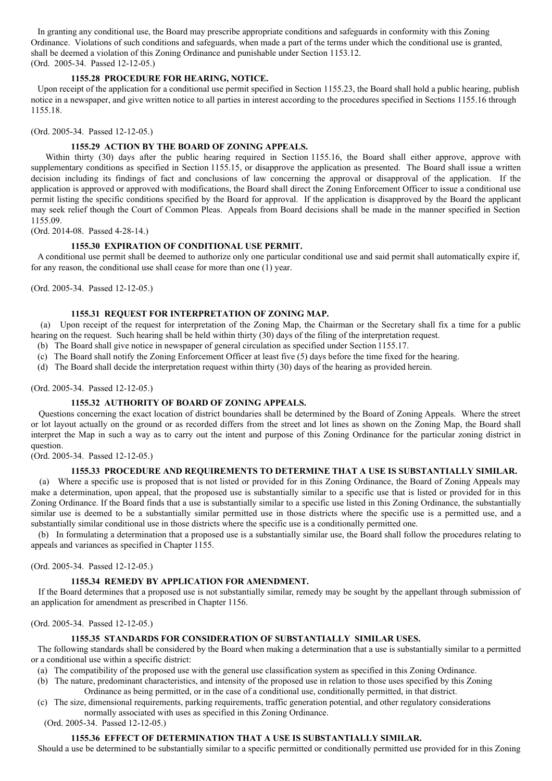In granting any conditional use, the Board may prescribe appropriate conditions and safeguards in conformity with this Zoning Ordinance. Violations of such conditions and safeguards, when made a part of the terms under which the conditional use is granted, shall be deemed a violation of this Zoning Ordinance and punishable under Section 1153.12. (Ord. 2005-34. Passed 12-12-05.)

### **1155.28 PROCEDURE FOR HEARING, NOTICE.**

Upon receipt of the application for a conditional use permit specified in Section 1155.23, the Board shall hold a public hearing, publish notice in a newspaper, and give written notice to all parties in interest according to the procedures specified in Sections 1155.16 through 1155.18.

(Ord. 2005-34. Passed 12-12-05.)

#### **1155.29 ACTION BY THE BOARD OF ZONING APPEALS.**

Within thirty (30) days after the public hearing required in Section 1155.16, the Board shall either approve, approve with supplementary conditions as specified in Section 1155.15, or disapprove the application as presented. The Board shall issue a written decision including its findings of fact and conclusions of law concerning the approval or disapproval of the application. If the application is approved or approved with modifications, the Board shall direct the Zoning Enforcement Officer to issue a conditional use permit listing the specific conditions specified by the Board for approval. If the application is disapproved by the Board the applicant may seek relief though the Court of Common Pleas. Appeals from Board decisions shall be made in the manner specified in Section 1155.09.

(Ord. 2014-08. Passed 4-28-14.)

#### **1155.30 EXPIRATION OF CONDITIONAL USE PERMIT.**

A conditional use permit shall be deemed to authorize only one particular conditional use and said permit shall automatically expire if, for any reason, the conditional use shall cease for more than one (1) year.

(Ord. 2005-34. Passed 12-12-05.)

#### **1155.31 REQUEST FOR INTERPRETATION OF ZONING MAP.**

(a) Upon receipt of the request for interpretation of the Zoning Map, the Chairman or the Secretary shall fix a time for a public hearing on the request. Such hearing shall be held within thirty (30) days of the filing of the interpretation request.

- (b) The Board shall give notice in newspaper of general circulation as specified under Section 1155.17.
- (c) The Board shall notify the Zoning Enforcement Officer at least five (5) days before the time fixed for the hearing.
- (d) The Board shall decide the interpretation request within thirty (30) days of the hearing as provided herein.

#### (Ord. 2005-34. Passed 12-12-05.)

#### **1155.32 AUTHORITY OF BOARD OF ZONING APPEALS.**

Questions concerning the exact location of district boundaries shall be determined by the Board of Zoning Appeals. Where the street or lot layout actually on the ground or as recorded differs from the street and lot lines as shown on the Zoning Map, the Board shall interpret the Map in such a way as to carry out the intent and purpose of this Zoning Ordinance for the particular zoning district in question.

(Ord. 2005-34. Passed 12-12-05.)

## **1155.33 PROCEDURE AND REQUIREMENTS TO DETERMINE THAT A USE IS SUBSTANTIALLY SIMILAR.**

(a) Where a specific use is proposed that is not listed or provided for in this Zoning Ordinance, the Board of Zoning Appeals may make a determination, upon appeal, that the proposed use is substantially similar to a specific use that is listed or provided for in this Zoning Ordinance. If the Board finds that a use is substantially similar to a specific use listed in this Zoning Ordinance, the substantially similar use is deemed to be a substantially similar permitted use in those districts where the specific use is a permitted use, and a substantially similar conditional use in those districts where the specific use is a conditionally permitted one.

(b) In formulating a determination that a proposed use is a substantially similar use, the Board shall follow the procedures relating to appeals and variances as specified in Chapter 1155.

(Ord. 2005-34. Passed 12-12-05.)

#### **1155.34 REMEDY BY APPLICATION FOR AMENDMENT.**

If the Board determines that a proposed use is not substantially similar, remedy may be sought by the appellant through submission of an application for amendment as prescribed in Chapter 1156.

(Ord. 2005-34. Passed 12-12-05.)

#### **1155.35 STANDARDS FOR CONSIDERATION OF SUBSTANTIALLY SIMILAR USES.**

The following standards shall be considered by the Board when making a determination that a use is substantially similar to a permitted or a conditional use within a specific district:

- (a) The compatibility of the proposed use with the general use classification system as specified in this Zoning Ordinance.
- (b) The nature, predominant characteristics, and intensity of the proposed use in relation to those uses specified by this Zoning Ordinance as being permitted, or in the case of a conditional use, conditionally permitted, in that district.
- (c) The size, dimensional requirements, parking requirements, traffic generation potential, and other regulatory considerations normally associated with uses as specified in this Zoning Ordinance.

(Ord. 2005-34. Passed 12-12-05.)

## **1155.36 EFFECT OF DETERMINATION THAT A USE IS SUBSTANTIALLY SIMILAR.**

Should a use be determined to be substantially similar to a specific permitted or conditionally permitted use provided for in this Zoning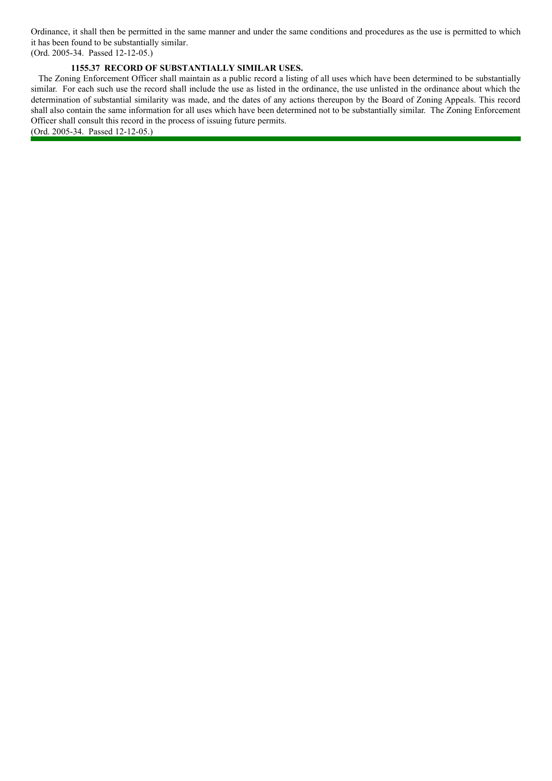Ordinance, it shall then be permitted in the same manner and under the same conditions and procedures as the use is permitted to which it has been found to be substantially similar.

(Ord. 2005-34. Passed 12-12-05.)

## **1155.37 RECORD OF SUBSTANTIALLY SIMILAR USES.**

The Zoning Enforcement Officer shall maintain as a public record a listing of all uses which have been determined to be substantially similar. For each such use the record shall include the use as listed in the ordinance, the use unlisted in the ordinance about which the determination of substantial similarity was made, and the dates of any actions thereupon by the Board of Zoning Appeals. This record shall also contain the same information for all uses which have been determined not to be substantially similar. The Zoning Enforcement Officer shall consult this record in the process of issuing future permits.

(Ord. 2005-34. Passed 12-12-05.)